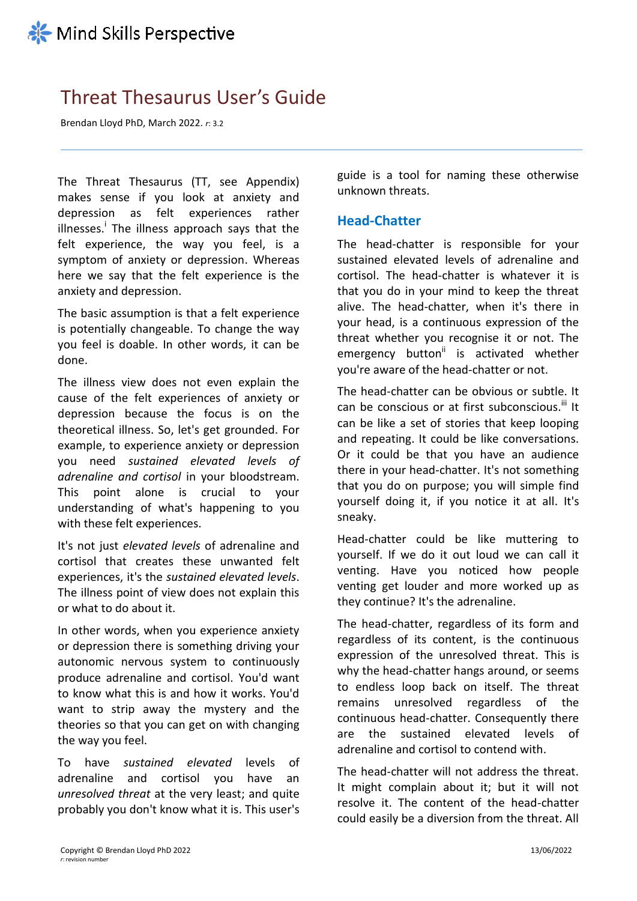# Threat Thesaurus User's Guide

Brendan Lloyd PhD, March 2022. *r*: 3.2

The Threat Thesaurus (TT, see Appendix) makes sense if you look at anxiety and depression as felt experiences rather illnesses.<sup>i</sup> The illness approach says that the felt experience, the way you feel, is a symptom of anxiety or depression. Whereas here we say that the felt experience is the anxiety and depression.

The basic assumption is that a felt experience is potentially changeable. To change the way you feel is doable. In other words, it can be done.

The illness view does not even explain the cause of the felt experiences of anxiety or depression because the focus is on the theoretical illness. So, let's get grounded. For example, to experience anxiety or depression you need *sustained elevated levels of adrenaline and cortisol* in your bloodstream. This point alone is crucial to your understanding of what's happening to you with these felt experiences.

It's not just *elevated levels* of adrenaline and cortisol that creates these unwanted felt experiences, it's the *sustained elevated levels*. The illness point of view does not explain this or what to do about it.

In other words, when you experience anxiety or depression there is something driving your autonomic nervous system to continuously produce adrenaline and cortisol. You'd want to know what this is and how it works. You'd want to strip away the mystery and the theories so that you can get on with changing the way you feel.

To have *sustained elevated* levels of adrenaline and cortisol you have an *unresolved threat* at the very least; and quite probably you don't know what it is. This user's guide is a tool for naming these otherwise unknown threats.

# **Head-Chatter**

The head-chatter is responsible for your sustained elevated levels of adrenaline and cortisol. The head-chatter is whatever it is that you do in your mind to keep the threat alive. The head-chatter, when it's there in your head, is a continuous expression of the threat whether you recognise it or not. The emergency button<sup>ii</sup> is activated whether you're aware of the head-chatter or not.

The head-chatter can be obvious or subtle. It can be conscious or at first subconscious.<sup>iii</sup> It can be like a set of stories that keep looping and repeating. It could be like conversations. Or it could be that you have an audience there in your head-chatter. It's not something that you do on purpose; you will simple find yourself doing it, if you notice it at all. It's sneaky.

Head-chatter could be like muttering to yourself. If we do it out loud we can call it venting. Have you noticed how people venting get louder and more worked up as they continue? It's the adrenaline.

The head-chatter, regardless of its form and regardless of its content, is the continuous expression of the unresolved threat. This is why the head-chatter hangs around, or seems to endless loop back on itself. The threat remains unresolved regardless of the continuous head-chatter. Consequently there are the sustained elevated levels of adrenaline and cortisol to contend with.

The head-chatter will not address the threat. It might complain about it; but it will not resolve it. The content of the head-chatter could easily be a diversion from the threat. All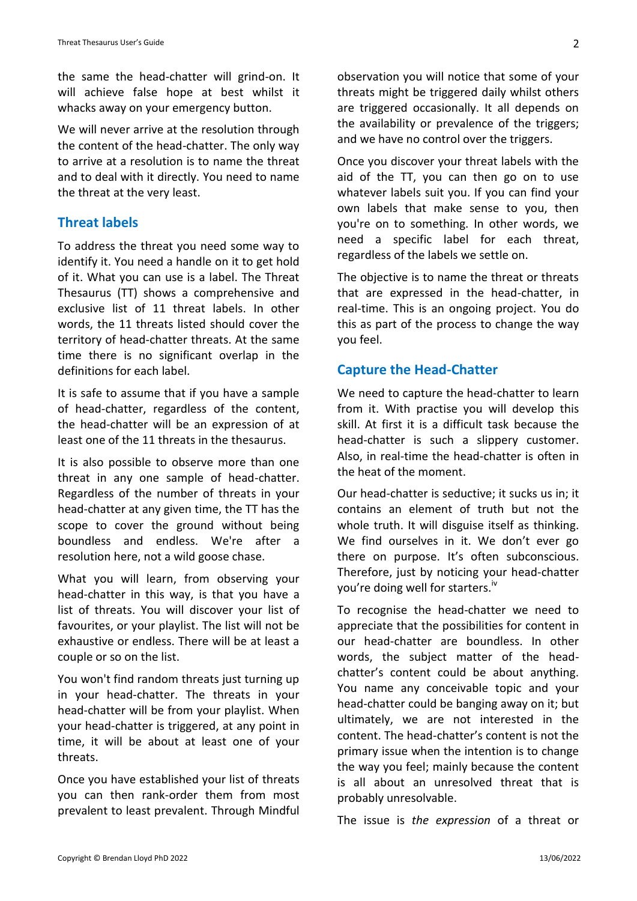the same the head-chatter will grind-on. It will achieve false hope at best whilst it whacks away on your emergency button.

We will never arrive at the resolution through the content of the head-chatter. The only way to arrive at a resolution is to name the threat and to deal with it directly. You need to name the threat at the very least.

# **Threat labels**

To address the threat you need some way to identify it. You need a handle on it to get hold of it. What you can use is a label. The Threat Thesaurus (TT) shows a comprehensive and exclusive list of 11 threat labels. In other words, the 11 threats listed should cover the territory of head-chatter threats. At the same time there is no significant overlap in the definitions for each label.

It is safe to assume that if you have a sample of head-chatter, regardless of the content, the head-chatter will be an expression of at least one of the 11 threats in the thesaurus.

It is also possible to observe more than one threat in any one sample of head-chatter. Regardless of the number of threats in your head-chatter at any given time, the TT has the scope to cover the ground without being boundless and endless. We're after a resolution here, not a wild goose chase.

What you will learn, from observing your head-chatter in this way, is that you have a list of threats. You will discover your list of favourites, or your playlist. The list will not be exhaustive or endless. There will be at least a couple or so on the list.

You won't find random threats just turning up in your head-chatter. The threats in your head-chatter will be from your playlist. When your head-chatter is triggered, at any point in time, it will be about at least one of your threats.

Once you have established your list of threats you can then rank-order them from most prevalent to least prevalent. Through Mindful observation you will notice that some of your threats might be triggered daily whilst others are triggered occasionally. It all depends on the availability or prevalence of the triggers; and we have no control over the triggers.

Once you discover your threat labels with the aid of the TT, you can then go on to use whatever labels suit you. If you can find your own labels that make sense to you, then you're on to something. In other words, we need a specific label for each threat, regardless of the labels we settle on.

The objective is to name the threat or threats that are expressed in the head-chatter, in real-time. This is an ongoing project. You do this as part of the process to change the way you feel.

# **Capture the Head-Chatter**

We need to capture the head-chatter to learn from it. With practise you will develop this skill. At first it is a difficult task because the head-chatter is such a slippery customer. Also, in real-time the head-chatter is often in the heat of the moment.

Our head-chatter is seductive; it sucks us in; it contains an element of truth but not the whole truth. It will disguise itself as thinking. We find ourselves in it. We don't ever go there on purpose. It's often subconscious. Therefore, just by noticing your head-chatter you're doing well for starters.<sup>"</sup>

To recognise the head-chatter we need to appreciate that the possibilities for content in our head-chatter are boundless. In other words, the subject matter of the headchatter's content could be about anything. You name any conceivable topic and your head-chatter could be banging away on it; but ultimately, we are not interested in the content. The head-chatter's content is not the primary issue when the intention is to change the way you feel; mainly because the content is all about an unresolved threat that is probably unresolvable.

The issue is *the expression* of a threat or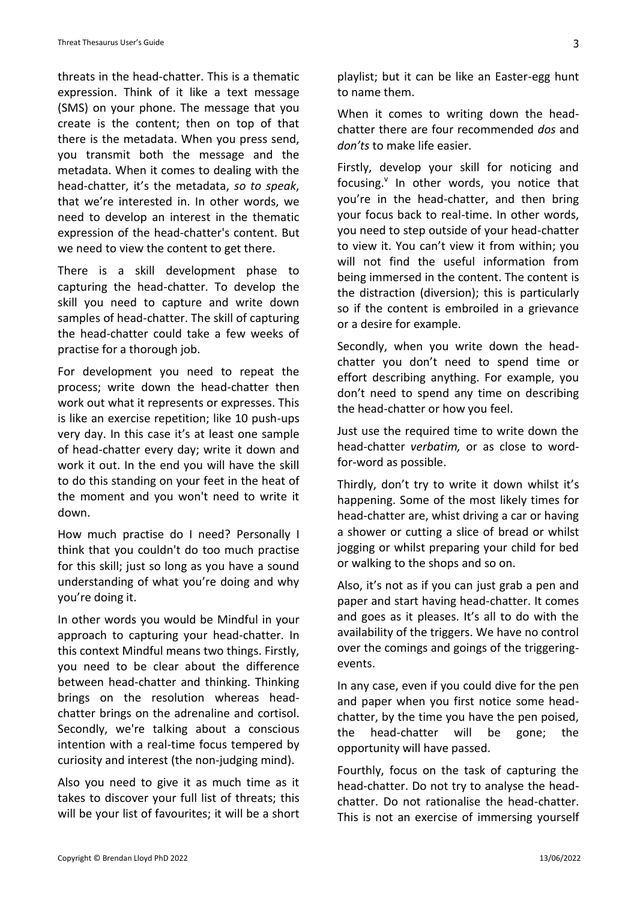threats in the head-chatter. This is a thematic expression. Think of it like a text message (SMS) on your phone. The message that you create is the content; then on top of that there is the metadata. When you press send, you transmit both the message and the metadata. When it comes to dealing with the head-chatter, it's the metadata, *so to speak*, that we're interested in. In other words, we need to develop an interest in the thematic expression of the head-chatter's content. But we need to view the content to get there.

There is a skill development phase to capturing the head-chatter. To develop the skill you need to capture and write down samples of head-chatter. The skill of capturing the head-chatter could take a few weeks of practise for a thorough job.

For development you need to repeat the process; write down the head-chatter then work out what it represents or expresses. This is like an exercise repetition; like 10 push-ups very day. In this case it's at least one sample of head-chatter every day; write it down and work it out. In the end you will have the skill to do this standing on your feet in the heat of the moment and you won't need to write it down.

How much practise do I need? Personally I think that you couldn't do too much practise for this skill; just so long as you have a sound understanding of what you're doing and why you're doing it.

In other words you would be Mindful in your approach to capturing your head-chatter. In this context Mindful means two things. Firstly, you need to be clear about the difference between head-chatter and thinking. Thinking brings on the resolution whereas headchatter brings on the adrenaline and cortisol. Secondly, we're talking about a conscious intention with a real-time focus tempered by curiosity and interest (the non-judging mind).

Also you need to give it as much time as it takes to discover your full list of threats; this will be your list of favourites; it will be a short playlist; but it can be like an Easter-egg hunt to name them.

When it comes to writing down the headchatter there are four recommended *dos* and *don'ts* to make life easier.

Firstly, develop your skill for noticing and focusing. In other words, you notice that you're in the head-chatter, and then bring your focus back to real-time. In other words, you need to step outside of your head-chatter to view it. You can't view it from within; you will not find the useful information from being immersed in the content. The content is the distraction (diversion); this is particularly so if the content is embroiled in a grievance or a desire for example.

Secondly, when you write down the headchatter you don't need to spend time or effort describing anything. For example, you don't need to spend any time on describing the head-chatter or how you feel.

Just use the required time to write down the head-chatter *verbatim,* or as close to wordfor-word as possible.

Thirdly, don't try to write it down whilst it's happening. Some of the most likely times for head-chatter are, whist driving a car or having a shower or cutting a slice of bread or whilst jogging or whilst preparing your child for bed or walking to the shops and so on.

Also, it's not as if you can just grab a pen and paper and start having head-chatter. It comes and goes as it pleases. It's all to do with the availability of the triggers. We have no control over the comings and goings of the triggeringevents.

In any case, even if you could dive for the pen and paper when you first notice some headchatter, by the time you have the pen poised, the head-chatter will be gone; the opportunity will have passed.

Fourthly, focus on the task of capturing the head-chatter. Do not try to analyse the headchatter. Do not rationalise the head-chatter. This is not an exercise of immersing yourself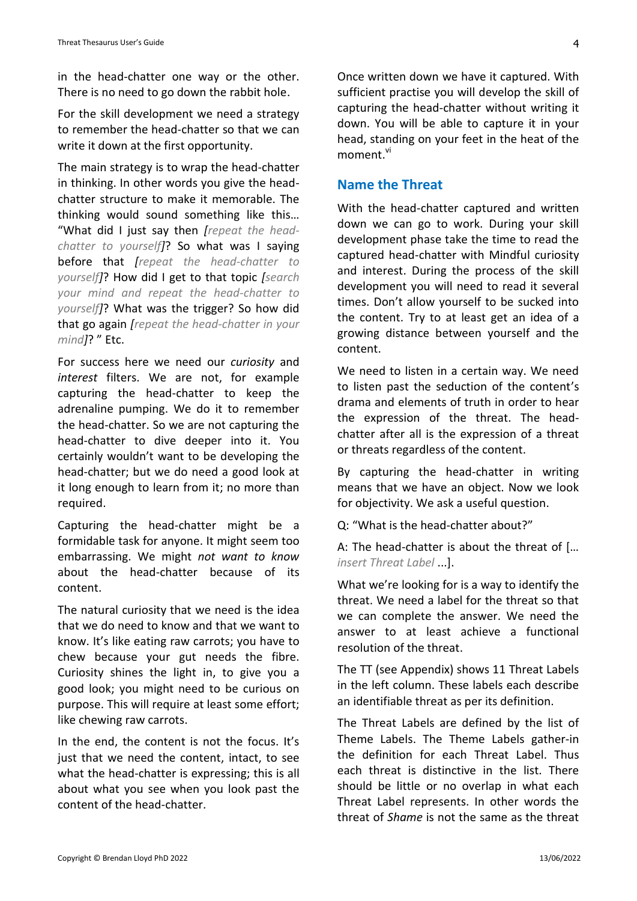in the head-chatter one way or the other. There is no need to go down the rabbit hole.

For the skill development we need a strategy to remember the head-chatter so that we can write it down at the first opportunity.

The main strategy is to wrap the head-chatter in thinking. In other words you give the headchatter structure to make it memorable. The thinking would sound something like this… "What did I just say then *[repeat the headchatter to yourself]*? So what was I saying before that *[repeat the head-chatter to yourself]*? How did I get to that topic *[search your mind and repeat the head-chatter to yourself]*? What was the trigger? So how did that go again *[repeat the head-chatter in your mind]*? " Etc.

For success here we need our *curiosity* and *interest* filters. We are not, for example capturing the head-chatter to keep the adrenaline pumping. We do it to remember the head-chatter. So we are not capturing the head-chatter to dive deeper into it. You certainly wouldn't want to be developing the head-chatter; but we do need a good look at it long enough to learn from it; no more than required.

Capturing the head-chatter might be a formidable task for anyone. It might seem too embarrassing. We might *not want to know* about the head-chatter because of its content.

The natural curiosity that we need is the idea that we do need to know and that we want to know. It's like eating raw carrots; you have to chew because your gut needs the fibre. Curiosity shines the light in, to give you a good look; you might need to be curious on purpose. This will require at least some effort; like chewing raw carrots.

In the end, the content is not the focus. It's just that we need the content, intact, to see what the head-chatter is expressing; this is all about what you see when you look past the content of the head-chatter.

Once written down we have it captured. With sufficient practise you will develop the skill of capturing the head-chatter without writing it down. You will be able to capture it in your head, standing on your feet in the heat of the moment.<sup>vi</sup>

# **Name the Threat**

With the head-chatter captured and written down we can go to work. During your skill development phase take the time to read the captured head-chatter with Mindful curiosity and interest. During the process of the skill development you will need to read it several times. Don't allow yourself to be sucked into the content. Try to at least get an idea of a growing distance between yourself and the content.

We need to listen in a certain way. We need to listen past the seduction of the content's drama and elements of truth in order to hear the expression of the threat. The headchatter after all is the expression of a threat or threats regardless of the content.

By capturing the head-chatter in writing means that we have an object. Now we look for objectivity. We ask a useful question.

Q: "What is the head-chatter about?"

A: The head-chatter is about the threat of [… *insert Threat Label* ...].

What we're looking for is a way to identify the threat. We need a label for the threat so that we can complete the answer. We need the answer to at least achieve a functional resolution of the threat.

The TT (see Appendix) shows 11 Threat Labels in the left column. These labels each describe an identifiable threat as per its definition.

The Threat Labels are defined by the list of Theme Labels. The Theme Labels gather-in the definition for each Threat Label. Thus each threat is distinctive in the list. There should be little or no overlap in what each Threat Label represents. In other words the threat of *Shame* is not the same as the threat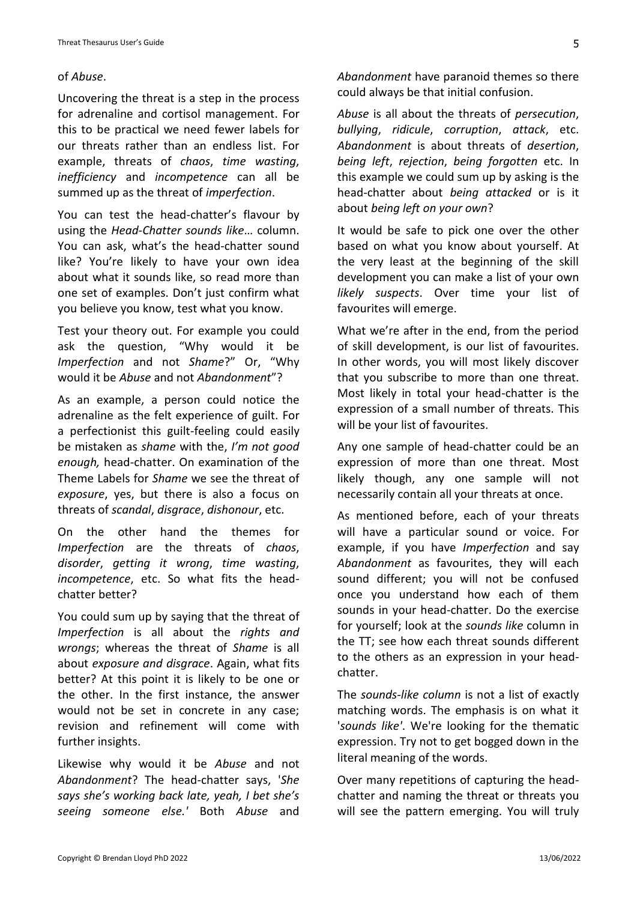### of *Abuse*.

Uncovering the threat is a step in the process for adrenaline and cortisol management. For this to be practical we need fewer labels for our threats rather than an endless list. For example, threats of *chaos*, *time wasting*, *inefficiency* and *incompetence* can all be summed up as the threat of *imperfection*.

You can test the head-chatter's flavour by using the *Head-Chatter sounds like*… column. You can ask, what's the head-chatter sound like? You're likely to have your own idea about what it sounds like, so read more than one set of examples. Don't just confirm what you believe you know, test what you know.

Test your theory out. For example you could ask the question, "Why would it be *Imperfection* and not *Shame*?" Or, "Why would it be *Abuse* and not *Abandonment*"?

As an example, a person could notice the adrenaline as the felt experience of guilt. For a perfectionist this guilt-feeling could easily be mistaken as *shame* with the, *I'm not good enough,* head-chatter. On examination of the Theme Labels for *Shame* we see the threat of *exposure*, yes, but there is also a focus on threats of *scandal*, *disgrace*, *dishonour*, etc.

On the other hand the themes for *Imperfection* are the threats of *chaos*, *disorder*, *getting it wrong*, *time wasting*, *incompetence*, etc. So what fits the headchatter better?

You could sum up by saying that the threat of *Imperfection* is all about the *rights and wrongs*; whereas the threat of *Shame* is all about *exposure and disgrace*. Again, what fits better? At this point it is likely to be one or the other. In the first instance, the answer would not be set in concrete in any case; revision and refinement will come with further insights.

Likewise why would it be *Abuse* and not *Abandonment*? The head-chatter says, '*She says she's working back late, yeah, I bet she's seeing someone else.'* Both *Abuse* and *Abandonment* have paranoid themes so there could always be that initial confusion.

*Abuse* is all about the threats of *persecution*, *bullying*, *ridicule*, *corruption*, *attack*, etc. *Abandonment* is about threats of *desertion*, *being left*, *rejection*, *being forgotten* etc. In this example we could sum up by asking is the head-chatter about *being attacked* or is it about *being left on your own*?

It would be safe to pick one over the other based on what you know about yourself. At the very least at the beginning of the skill development you can make a list of your own *likely suspects*. Over time your list of favourites will emerge.

What we're after in the end, from the period of skill development, is our list of favourites. In other words, you will most likely discover that you subscribe to more than one threat. Most likely in total your head-chatter is the expression of a small number of threats. This will be your list of favourites.

Any one sample of head-chatter could be an expression of more than one threat. Most likely though, any one sample will not necessarily contain all your threats at once.

As mentioned before, each of your threats will have a particular sound or voice. For example, if you have *Imperfection* and say *Abandonment* as favourites, they will each sound different; you will not be confused once you understand how each of them sounds in your head-chatter. Do the exercise for yourself; look at the *sounds like* column in the TT; see how each threat sounds different to the others as an expression in your headchatter.

The *sounds-like column* is not a list of exactly matching words. The emphasis is on what it '*sounds like'*. We're looking for the thematic expression. Try not to get bogged down in the literal meaning of the words.

Over many repetitions of capturing the headchatter and naming the threat or threats you will see the pattern emerging. You will truly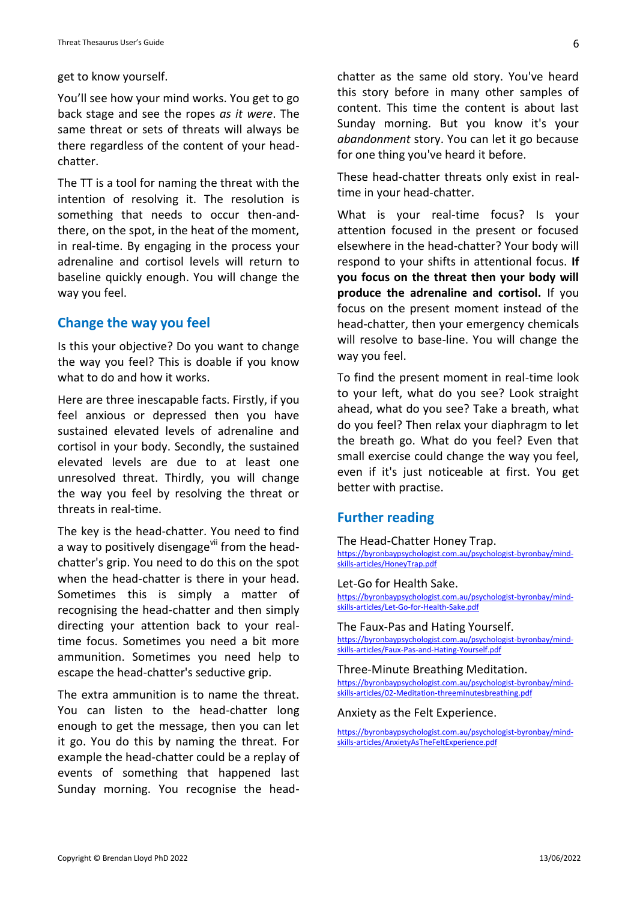get to know yourself.

You'll see how your mind works. You get to go back stage and see the ropes *as it were*. The same threat or sets of threats will always be there regardless of the content of your headchatter.

The TT is a tool for naming the threat with the intention of resolving it. The resolution is something that needs to occur then-andthere, on the spot, in the heat of the moment, in real-time. By engaging in the process your adrenaline and cortisol levels will return to baseline quickly enough. You will change the way you feel.

# **Change the way you feel**

Is this your objective? Do you want to change the way you feel? This is doable if you know what to do and how it works.

Here are three inescapable facts. Firstly, if you feel anxious or depressed then you have sustained elevated levels of adrenaline and cortisol in your body. Secondly, the sustained elevated levels are due to at least one unresolved threat. Thirdly, you will change the way you feel by resolving the threat or threats in real-time.

The key is the head-chatter. You need to find a way to positively disengage<sup>vii</sup> from the headchatter's grip. You need to do this on the spot when the head-chatter is there in your head. Sometimes this is simply a matter of recognising the head-chatter and then simply directing your attention back to your realtime focus. Sometimes you need a bit more ammunition. Sometimes you need help to escape the head-chatter's seductive grip.

The extra ammunition is to name the threat. You can listen to the head-chatter long enough to get the message, then you can let it go. You do this by naming the threat. For example the head-chatter could be a replay of events of something that happened last Sunday morning. You recognise the headchatter as the same old story. You've heard this story before in many other samples of content. This time the content is about last Sunday morning. But you know it's your *abandonment* story. You can let it go because for one thing you've heard it before.

These head-chatter threats only exist in realtime in your head-chatter.

What is your real-time focus? Is your attention focused in the present or focused elsewhere in the head-chatter? Your body will respond to your shifts in attentional focus. **If you focus on the threat then your body will produce the adrenaline and cortisol.** If you focus on the present moment instead of the head-chatter, then your emergency chemicals will resolve to base-line. You will change the way you feel.

To find the present moment in real-time look to your left, what do you see? Look straight ahead, what do you see? Take a breath, what do you feel? Then relax your diaphragm to let the breath go. What do you feel? Even that small exercise could change the way you feel, even if it's just noticeable at first. You get better with practise.

### **Further reading**

The Head-Chatter Honey Trap.

[https://byronbaypsychologist.com.au/psychologist-byronbay/mind](https://byronbaypsychologist.com.au/psychologist-byronbay/mind-skills-articles/HoneyTrap.pdf)[skills-articles/HoneyTrap.pdf](https://byronbaypsychologist.com.au/psychologist-byronbay/mind-skills-articles/HoneyTrap.pdf)

#### Let-Go for Health Sake.

[https://byronbaypsychologist.com.au/psychologist-byronbay/mind](https://byronbaypsychologist.com.au/psychologist-byronbay/mind-skills-articles/Let-Go-for-Health-Sake.pdf)[skills-articles/Let-Go-for-Health-Sake.pdf](https://byronbaypsychologist.com.au/psychologist-byronbay/mind-skills-articles/Let-Go-for-Health-Sake.pdf)

#### The Faux-Pas and Hating Yourself.

[https://byronbaypsychologist.com.au/psychologist-byronbay/mind](https://byronbaypsychologist.com.au/psychologist-byronbay/mind-skills-articles/Faux-Pas-and-Hating-Yourself.pdf)[skills-articles/Faux-Pas-and-Hating-Yourself.pdf](https://byronbaypsychologist.com.au/psychologist-byronbay/mind-skills-articles/Faux-Pas-and-Hating-Yourself.pdf)

#### Three-Minute Breathing Meditation.

[https://byronbaypsychologist.com.au/psychologist-byronbay/mind](https://byronbaypsychologist.com.au/psychologist-byronbay/mind-skills-articles/02-Meditation-threeminutesbreathing.pdf)[skills-articles/02-Meditation-threeminutesbreathing.pdf](https://byronbaypsychologist.com.au/psychologist-byronbay/mind-skills-articles/02-Meditation-threeminutesbreathing.pdf)

#### Anxiety as the Felt Experience.

[https://byronbaypsychologist.com.au/psychologist-byronbay/mind](https://byronbaypsychologist.com.au/psychologist-byronbay/mind-skills-articles/AnxietyAsTheFeltExperience.pdf)[skills-articles/AnxietyAsTheFeltExperience.pdf](https://byronbaypsychologist.com.au/psychologist-byronbay/mind-skills-articles/AnxietyAsTheFeltExperience.pdf)